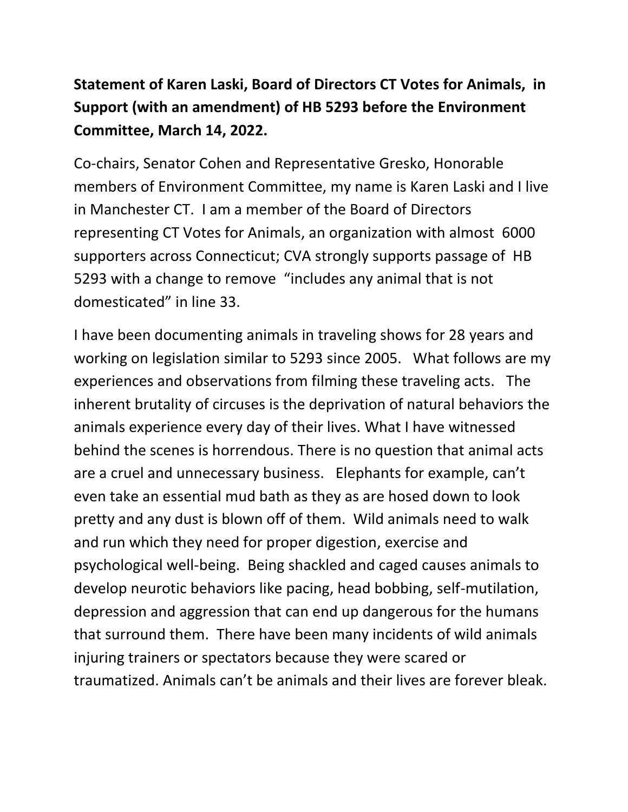## **Statement of Karen Laski, Board of Directors CT Votes for Animals, in Support (with an amendment) of HB 5293 before the Environment Committee, March 14, 2022.**

Co-chairs, Senator Cohen and Representative Gresko, Honorable members of Environment Committee, my name is Karen Laski and I live in Manchester CT. I am a member of the Board of Directors representing CT Votes for Animals, an organization with almost 6000 supporters across Connecticut; CVA strongly supports passage of HB 5293 with a change to remove "includes any animal that is not domesticated" in line 33.

I have been documenting animals in traveling shows for 28 years and working on legislation similar to 5293 since 2005. What follows are my experiences and observations from filming these traveling acts. The inherent brutality of circuses is the deprivation of natural behaviors the animals experience every day of their lives. What I have witnessed behind the scenes is horrendous. There is no question that animal acts are a cruel and unnecessary business. Elephants for example, can't even take an essential mud bath as they as are hosed down to look pretty and any dust is blown off of them. Wild animals need to walk and run which they need for proper digestion, exercise and psychological well-being. Being shackled and caged causes animals to develop neurotic behaviors like pacing, head bobbing, self-mutilation, depression and aggression that can end up dangerous for the humans that surround them. There have been many incidents of wild animals injuring trainers or spectators because they were scared or traumatized. Animals can't be animals and their lives are forever bleak.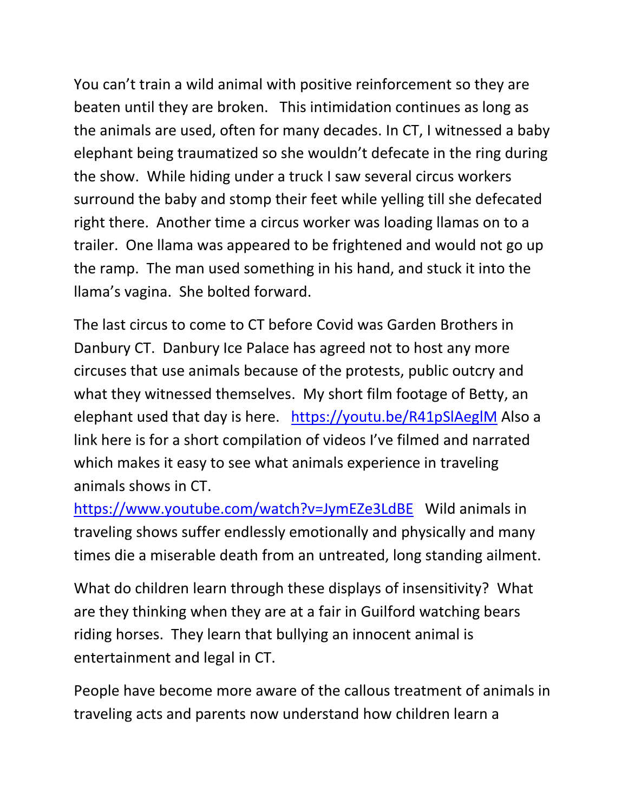You can't train a wild animal with positive reinforcement so they are beaten until they are broken. This intimidation continues as long as the animals are used, often for many decades. In CT, I witnessed a baby elephant being traumatized so she wouldn't defecate in the ring during the show. While hiding under a truck I saw several circus workers surround the baby and stomp their feet while yelling till she defecated right there. Another time a circus worker was loading llamas on to a trailer. One llama was appeared to be frightened and would not go up the ramp. The man used something in his hand, and stuck it into the llama's vagina. She bolted forward.

The last circus to come to CT before Covid was Garden Brothers in Danbury CT. Danbury Ice Palace has agreed not to host any more circuses that use animals because of the protests, public outcry and what they witnessed themselves. My short film footage of Betty, an elephant used that day is here. <https://youtu.be/R41pSlAeglM> Also a link here is for a short compilation of videos I've filmed and narrated which makes it easy to see what animals experience in traveling animals shows in CT.

<https://www.youtube.com/watch?v=JymEZe3LdBE> Wild animals in traveling shows suffer endlessly emotionally and physically and many times die a miserable death from an untreated, long standing ailment.

What do children learn through these displays of insensitivity? What are they thinking when they are at a fair in Guilford watching bears riding horses. They learn that bullying an innocent animal is entertainment and legal in CT.

People have become more aware of the callous treatment of animals in traveling acts and parents now understand how children learn a